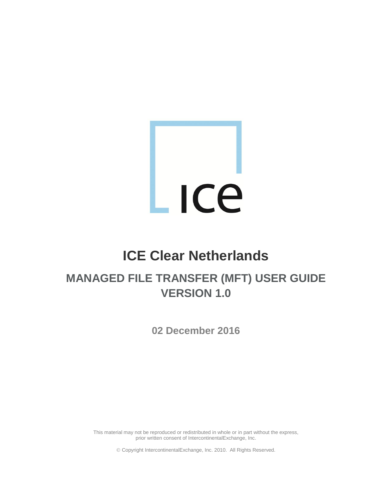# ICe L

# **ICE Clear Netherlands**

## **MANAGED FILE TRANSFER (MFT) USER GUIDE VERSION 1.0**

**02 December 2016**

This material may not be reproduced or redistributed in whole or in part without the express, prior written consent of IntercontinentalExchange, Inc.

Copyright IntercontinentalExchange, Inc. 2010. All Rights Reserved.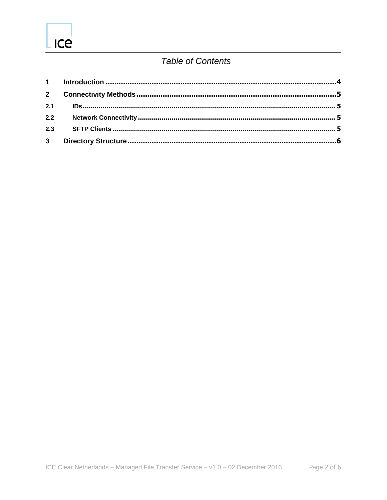### **Table of Contents**

| 2.2            |  |
|----------------|--|
| 2.3            |  |
| 3 <sup>7</sup> |  |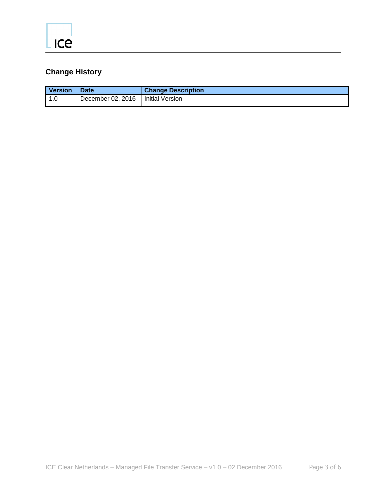## **Change History**

| <b>Version</b> | <b>Date</b>                         | <b>Change Description</b> |
|----------------|-------------------------------------|---------------------------|
| l 1.0          | December 02, 2016   Initial Version |                           |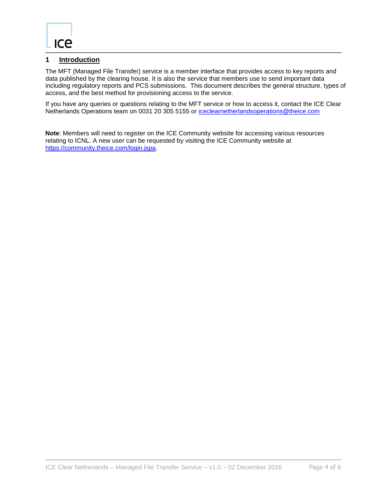#### <span id="page-3-0"></span>**1 Introduction**

The MFT (Managed File Transfer) service is a member interface that provides access to key reports and data published by the clearing house. It is also the service that members use to send important data including regulatory reports and PCS submissions. This document describes the general structure, types of access, and the best method for provisioning access to the service.

If you have any queries or questions relating to the MFT service or how to access it, contact the ICE Clear Netherlands Operations team on 0031 20 305 5155 or [iceclearnetherlandsoperations@theice.com](mailto:iceclearnetherlandsoperations@theice.com)

**Note**: Members will need to register on the ICE Community website for accessing various resources relating to ICNL. A new user can be requested by visiting the ICE Community website at [https://community.theice.com/login.jspa.](https://community.theice.com/login.jspa)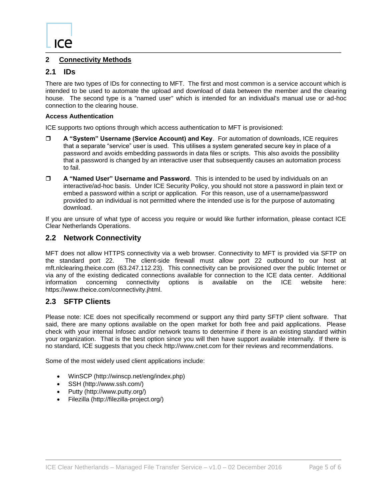#### <span id="page-4-0"></span>**2 Connectivity Methods**

#### <span id="page-4-1"></span>**2.1 IDs**

There are two types of IDs for connecting to MFT. The first and most common is a service account which is intended to be used to automate the upload and download of data between the member and the clearing house. The second type is a "named user" which is intended for an individual's manual use or ad-hoc connection to the clearing house.

#### **Access Authentication**

ICE supports two options through which access authentication to MFT is provisioned:

- **A "System" Username (Service Account) and Key**. For automation of downloads, ICE requires that a separate "service" user is used. This utilises a system generated secure key in place of a password and avoids embedding passwords in data files or scripts. This also avoids the possibility that a password is changed by an interactive user that subsequently causes an automation process to fail.
- **A "Named User" Username and Password**. This is intended to be used by individuals on an interactive/ad-hoc basis. Under ICE Security Policy, you should not store a password in plain text or embed a password within a script or application. For this reason, use of a username/password provided to an individual is not permitted where the intended use is for the purpose of automating download.

If you are unsure of what type of access you require or would like further information, please contact ICE Clear Netherlands Operations.

#### <span id="page-4-2"></span>**2.2 Network Connectivity**

MFT does not allow HTTPS connectivity via a web browser. Connectivity to MFT is provided via SFTP on the standard port 22. The client-side firewall must allow port 22 outbound to our host at mft.nlclearing.theice.com (63.247.112.23). This connectivity can be provisioned over the public Internet or via any of the existing dedicated connections available for connection to the ICE data center. Additional information concerning connectivity options is available on the ICE website here: https://www.theice.com/connectivity.jhtml.

#### <span id="page-4-3"></span>**2.3 SFTP Clients**

Please note: ICE does not specifically recommend or support any third party SFTP client software. That said, there are many options available on the open market for both free and paid applications. Please check with your internal Infosec and/or network teams to determine if there is an existing standard within your organization. That is the best option since you will then have support available internally. If there is no standard, ICE suggests that you check http://www.cnet.com for their reviews and recommendations.

Some of the most widely used client applications include:

- WinSCP (http://winscp.net/eng/index.php)
- SSH (http://www.ssh.com/)
- Putty (http://www.putty.org/)
- Filezilla (http://filezilla-project.org/)